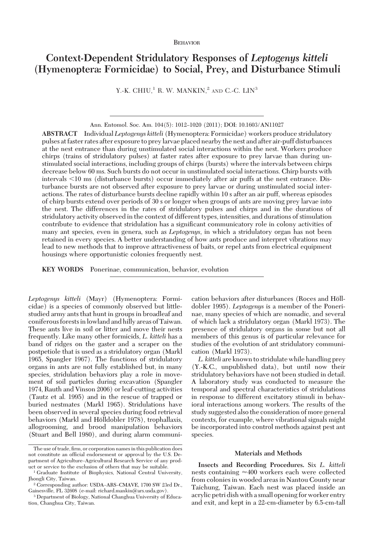# **BEHAVIOR**

# **Context-Dependent Stridulatory Responses of** *Leptogenys kitteli* **(Hymenoptera: Formicidae) to Social, Prey, and Disturbance Stimuli**

Y.-K. CHIU,<sup>1</sup> R. W. MANKIN,<sup>2</sup> AND C.-C.  $LIN<sup>3</sup>$ 

**ABSTRACT** Individual *Leptogenys kitteli* (Hymenoptera: Formicidae) workers produce stridulatory pulses at faster rates after exposure to preylarvae placed nearby the nest and after air-puff disturbances at the nest entrance than during unstimulated social interactions within the nest. Workers produce chirps (trains of stridulatory pulses) at faster rates after exposure to prey larvae than during unstimulated social interactions, including groups of chirps (bursts) where the intervals between chirps decrease below 60 ms. Such bursts do not occur in unstimulated social interactions. Chirp bursts with intervals  $\leq 10$  ms (disturbance bursts) occur immediately after air puffs at the nest entrance. Disturbance bursts are not observed after exposure to prey larvae or during unstimulated social interactions. The rates of disturbance bursts decline rapidly within 10 s after an air puff, whereas episodes of chirp bursts extend over periods of 30 s or longer when groups of ants are moving prey larvae into the nest. The differences in the rates of stridulatory pulses and chirps and in the durations of stridulatory activity observed in the context of different types, intensities, and durations of stimulation contribute to evidence that stridulation has a significant communicatory role in colony activities of many ant species, even in genera, such as *Leptogenys*, in which a stridulatory organ has not been retained in every species. A better understanding of how ants produce and interpret vibrations may lead to new methods that to improve attractiveness of baits, or repel ants from electrical equipment housings where opportunistic colonies frequently nest.

**KEY WORDS** Ponerinae, communication, behavior, evolution

*Leptogenys kitteli* (Mayr) (Hymenoptera: Formicidae) is a species of commonly observed but littlestudied army ants that hunt in groups in broadleaf and coniferous forestsinlowland and hilly areas of Taiwan. These ants live in soil or litter and move their nests frequently. Like many other formicids, *L. kitteli* has a band of ridges on the gaster and a scraper on the postpetiole that is used as a stridulatory organ (Markl 1965, Spangler 1967). The functions of stridulatory organs in ants are not fully established but, in many species, stridulation behaviors play a role in movement of soil particles during excavation (Spangler 1974, Rauth and Vinson 2006) or leaf-cutting activities (Tautz et al. 1995) and in the rescue of trapped or buried nestmates (Markl 1965). Stridulations have been observed in several species during food retrieval behaviors (Markl and Hölldobler 1978), trophallaxis, allogrooming, and brood manipulation behaviors (Stuart and Bell 1980), and during alarm communi-

cation behaviors after disturbances (Roces and Hölldobler 1995). *Leptogenys* is a member of the Ponerinae, many species of which are nomadic, and several of which lack a stridulatory organ (Markl 1973). The presence of stridulatory organs in some but not all members of this genus is of particular relevance for studies of the evolution of ant stridulatory communication (Markl 1973).

*L. kitteli* are known to stridulate while handling prey (Y.-K.C., unpublished data), but until now their stridulatory behaviors have not been studied in detail. A laboratory study was conducted to measure the temporal and spectral characteristics of stridulations in response to different excitatory stimuli in behavioral interactions among workers. The results of the study suggested also the consideration of more general contexts, for example, where vibrational signals might be incorporated into control methods against pest ant species.

# **Materials and Methods**

**Insects and Recording Procedures.** Six *L. kitteli* nests containing  $\approx\!\!400$  workers each were collected from colonies in wooded areas in Nantou County near Taichung, Taiwan. Each nest was placed inside an acrylic petri dish with a small opening for worker entry and exit, and kept in a 22-cm-diameter by 6.5-cm-tall

Ann. Entomol. Soc. Am. 104(5): 1012-1020 (2011); DOI: 10.1603/AN11027

The use of trade, firm, or corporation names in this publication does not constitute an official endorsement or approval by the U.S. Department of Agriculture-Agricultural Research Service of any product or service to the exclusion of others that may be suitable.

<sup>1</sup> Graduate Institute of Biophysics, National Central University, Jhongli City, Taiwan.

<sup>&</sup>lt;sup>2</sup> Corresponding author: USDA-ARS-CMAVE, 1700 SW 23rd Dr., Gainesville, FL 32608 (e-mail: richard.mankin@ars.usda.gov).

<sup>3</sup> Department of Biology, National Changhua University of Education, Changhua City, Taiwan.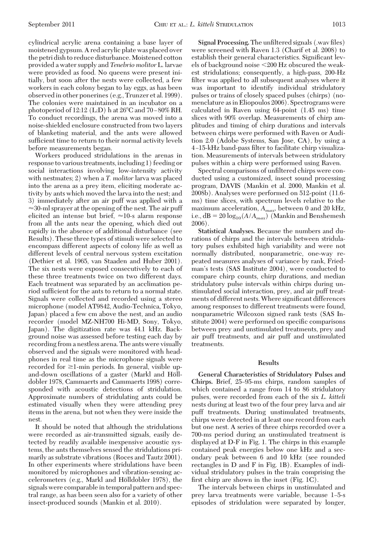cylindrical acrylic arena containing a base layer of moistened gypsum. A red acrylic plate was placed over the petri dish to reduce disturbance.Moistened cotton provided a water supply and *Tenebrio molitor* L. larvae were provided as food. No queens were present initially, but soon after the nests were collected, a few workers in each colony began to lay eggs, as has been observed in other ponerines (e.g., Trunzer et al. 1999). The colonies were maintained in an incubator on a photoperiod of 12:12 (L:D) h at  $26^{\circ}$ C and 70 – 80% RH. To conduct recordings, the arena was moved into a noise-shielded enclosure constructed from two layers of blanketing material, and the ants were allowed sufficient time to return to their normal activity levels before measurements began.

Workers produced stridulations in the arenas in response to various treatments,including 1) feeding or social interactions involving low-intensity activity with nestmates; 2) when a *T. molitor* larva was placed into the arena as a prey item, eliciting moderate activity by ants which moved the larva into the nest; and 3) immediately after an air puff was applied with a  $\approx$ 30-ml sprayer at the opening of the nest. The air puff elicited an intense but brief,  $\approx$ 10-s alarm response from all the ants near the opening, which died out rapidly in the absence of additional disturbance (see Results). These three types of stimuli were selected to encompass different aspects of colony life as well as different levels of central nervous system excitation (Dethier et al. 1965, van Staaden and Huber 2001). The six nests were exposed consecutively to each of these three treatments twice on two different days. Each treatment was separated by an acclimation period sufficient for the ants to return to a normal state. Signals were collected and recorded using a stereo microphone (model AT9842, Audio-Technica, Tokyo, Japan) placed a few cm above the nest, and an audio recorder (model MZ-NH700 Hi-MD, Sony, Tokyo, Japan). The digitization rate was 44.1 kHz. Background noise was assessed before testing each day by recording from a nestless arena. The ants were visually observed and the signals were monitored with headphones in real time as the microphone signals were recorded for  $\geq 1$ -min periods. In general, visible upand-down oscillations of a gaster (Markl and Hölldobler 1978, Cammaerts and Cammaerts 1998) corresponded with acoustic detections of stridulation. Approximate numbers of stridulating ants could be estimated visually when they were attending prey items in the arena, but not when they were inside the nest.

It should be noted that although the stridulations were recorded as air-transmitted signals, easily detected by readily available inexpensive acoustic systems, the ants themselves sensed the stridulations primarily as substrate vibrations (Roces and Tautz 2001). In other experiments where stridulations have been monitored by microphones and vibration-sensing accelerometers (e.g., Markl and Hölldobler 1978), the signals were comparable in temporal pattern and spectral range, as has been seen also for a variety of other insect-produced sounds (Mankin et al. 2010).

**Signal Processing.** The unfiltered signals (.wav files) were screened with Raven 1.3 (Charif et al. 2008) to establish their general characteristics. Significant levels of background noise 200 Hz obscured the weakest stridulations; consequently, a high-pass, 200-Hz filter was applied to all subsequent analyses where it was important to identify individual stridulatory pulses or trains of closely spaced pulses (chirps) (nomenclature as in Eliopoulos 2006). Spectrograms were calculated in Raven using 64-point (1.45 ms) time slices with 90% overlap. Measurements of chirp amplitudes and timing of chirp durations and intervals between chirps were performed with Raven or Audition 2.0 (Adobe Systems, San Jose, CA), by using a 4–15-kHz band-pass filter to facilitate chirp visualization. Measurements of intervals between stridulatory pulses within a chirp were performed using Raven.

Spectral comparisons of unfiltered chirps were conducted using a customized, insect sound processing program, DAVIS (Mankin et al. 2000, Mankin et al. 2008b). Analyses were performed on 512-point (11.6 ms) time slices, with spectrum levels relative to the maximum acceleration, *Amax,* between 0 and 20 kHz, i.e.,  $dB = 20 \log_{10}(A/A_{max})$  (Mankin and Benshemesh 2006).

**Statistical Analyses.** Because the numbers and durations of chirps and the intervals between stridulatory pulses exhibited high variability and were not normally distributed, nonparametric, one-way repeated measures analyses of variance by rank, Friedman's tests (SAS Institute 2004), were conducted to compare chirp counts, chirp durations, and median stridulatory pulse intervals within chirps during unstimulated social interaction, prey, and air puff treatments of different nests. Where significant differences among responses to different treatments were found, nonparametric Wilcoxon signed rank tests (SAS Institute 2004) were performed on specific comparisons between prey and unstimulated treatments, prey and air puff treatments, and air puff and unstimulated treatments.

#### **Results**

**General Characteristics of Stridulatory Pulses and** Chirps. Brief, 25–95-ms chirps, random samples of which contained a range from 14 to 86 stridulatory pulses, were recorded from each of the six *L. kitteli* nests during at least two of the four prey larva and air puff treatments. During unstimulated treatments, chirps were detected in at least one record from each but one nest. A series of three chirps recorded over a 700-ms period during an unstimulated treatment is displayed at D-F in Fig. 1. The chirps in this example contained peak energies below one kHz and a secondary peak between 6 and 10 kHz (see rounded rectangles in D and F in Fig. 1B). Examples of individual stridulatory pulses in the train comprising the first chirp are shown in the inset (Fig. 1C).

The intervals between chirps in unstimulated and prey larva treatments were variable, because 1Ð5-s episodes of stridulation were separated by longer,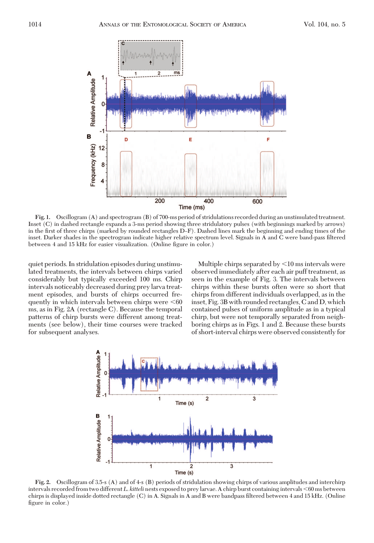

**Fig. 1.** Oscillogram (A) and spectrogram (B) of 700-ms period of stridulations recorded during an unstimulated treatment. Inset (C) in dashed rectangle expands a 3-ms period showing three stridulatory pulses (with beginnings marked by arrows) in the first of three chirps (marked by rounded rectangles D-F). Dashed lines mark the beginning and ending times of the inset. Darker shades in the spectrogram indicate higher relative spectrum level. Signals in A and C were band-pass filtered between 4 and 15 kHz for easier visualization. (Online figure in color.)

quiet periods. In stridulation episodes during unstimulated treatments, the intervals between chirps varied considerably but typically exceeded 100 ms. Chirp intervals noticeably decreased during prey larva treatment episodes, and bursts of chirps occurred frequently in which intervals between chirps were  $\leq 60$ ms, as in Fig. 2A (rectangle C). Because the temporal patterns of chirp bursts were different among treatments (see below), their time courses were tracked for subsequent analyses.

Multiple chirps separated by  $\leq 10$  ms intervals were observed immediately after each air puff treatment, as seen in the example of Fig. 3. The intervals between chirps within these bursts often were so short that chirps from different individuals overlapped, as in the inset, Fig. 3B with rounded rectangles, C and D, which contained pulses of uniform amplitude as in a typical chirp, but were not temporally separated from neighboring chirps as in Figs. 1 and 2. Because these bursts of short-interval chirps were observed consistently for



**Fig. 2.** Oscillogram of 3.5-s (A) and of 4-s (B) periods of stridulation showing chirps of various amplitudes and interchirp intervals recorded from two different *L. kitteli* nests exposed to prey larvae. A chirp burst containing intervals <60 ms between chirps is displayed inside dotted rectangle (C) in A. Signals in A and B were bandpass filtered between 4 and 15 kHz. (Online figure in color.)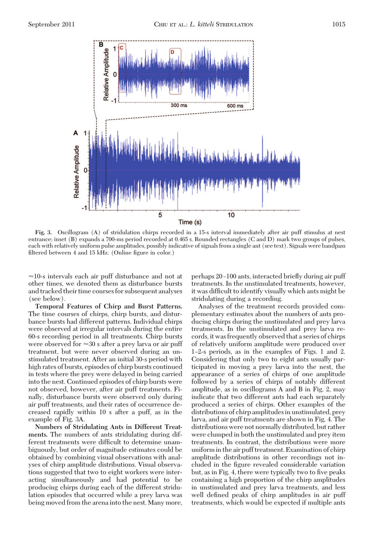

**Fig. 3.** Oscillogram (A) of stridulation chirps recorded in a 15-s interval immediately after air puff stimulus at nest entrance; inset (B) expands a 700-ms period recorded at 0.465 s. Rounded rectangles (C and D) mark two groups of pulses, each with relatively uniform pulse amplitudes, possibly indicative of signals from a single ant (see text). Signals were bandpass filtered between  $4$  and  $15$  kHz. (Online figure in color.)

-10-s intervals each air puff disturbance and not at other times, we denoted them as disturbance bursts and tracked their time courses for subsequent analyses (see below).

**Temporal Features of Chirp and Burst Patterns.** The time courses of chirps, chirp bursts, and disturbance bursts had different patterns. Individual chirps were observed at irregular intervals during the entire 60-s recording period in all treatments. Chirp bursts were observed for  $\approx$ 30 s after a prey larva or air puff treatment, but were never observed during an unstimulated treatment. After an initial 30-s period with high rates of bursts, episodes of chirp bursts continued in tests where the prey were delayed in being carried into the nest. Continued episodes of chirp bursts were not observed, however, after air puff treatments. Finally, disturbance bursts were observed only during air puff treatments, and their rates of occurrence decreased rapidly within 10 s after a puff, as in the example of Fig. 3A.

**Numbers of Stridulating Ants in Different Treatments.** The numbers of ants stridulating during different treatments were difficult to determine unambiguously, but order of magnitude estimates could be obtained by combining visual observations with analyses of chirp amplitude distributions. Visual observations suggested that two to eight workers were interacting simultaneously and had potential to be producing chirps during each of the different stridulation episodes that occurred while a prey larva was being moved from the arena into the nest. Many more, perhaps 20–100 ants, interacted briefly during air puff treatments. In the unstimulated treatments, however, it was difficult to identify visually which ants might be stridulating during a recording.

Analyses of the treatment records provided complementary estimates about the numbers of ants producing chirps during the unstimulated and prey larva treatments. In the unstimulated and prey larva records, it was frequently observed that a series of chirps of relatively uniform amplitude were produced over 1–2-s periods, as in the examples of Figs. 1 and 2. Considering that only two to eight ants usually participated in moving a prey larva into the nest, the appearance of a series of chirps of one amplitude followed by a series of chirps of notably different amplitude, as in oscillograms A and B in Fig. 2, may indicate that two different ants had each separately produced a series of chirps. Other examples of the distributions of chirp amplitudes in unstimulated, prey larva, and air puff treatments are shown in Fig. 4. The distributions were not normally distributed, but rather were clumped in both the unstimulated and prey item treatments. In contrast, the distributions were more uniformin the air puff treatment. Examination of chirp amplitude distributions in other recordings not included in the figure revealed considerable variation but, as in Fig. 4, there were typically two to five peaks containing a high proportion of the chirp amplitudes in unstimulated and prey larva treatments, and less well defined peaks of chirp amplitudes in air puff treatments, which would be expected if multiple ants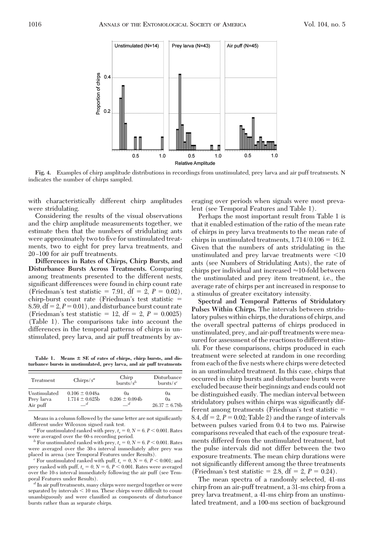

**Fig. 4.** Examples of chirp amplitude distributions in recordings from unstimulated, prey larva and air puff treatments. N indicates the number of chirps sampled.

with characteristically different chirp amplitudes were stridulating.

Considering the results of the visual observations and the chirp amplitude measurements together, we estimate then that the numbers of stridulating ants were approximately two to five for unstimulated treatments, two to eight for prey larva treatments, and 20-100 for air puff treatments.

**Differences in Rates of Chirps, Chirp Bursts, and Disturbance Bursts Across Treatments.** Comparing among treatments presented to the different nests, significant differences were found in chirp count rate (Friedman's test statistic  $= 7.91$ , df  $= 2$ ,  $P = 0.02$ ), chirp-burst count rate (Friedman's test statistic  $=$ 8.59,  $df = 2$ ,  $P = 0.01$ ), and disturbance burst count rate (Friedman's test statistic  $= 12$ , df  $= 2$ ,  $P = 0.0025$ ) (Table 1). The comparisons take into account the differences in the temporal patterns of chirps in unstimulated, prey larva, and air puff treatments by av-

**Table 1. Means SE of rates of chirps, chirp bursts, and disturbance bursts in unstimulated, prey larva, and air puff treatments**

| Treatment              | Chirps/ $s^a$      | Chirp<br>bursts/ $s^b$    | Disturbance<br>bursts/ $s^c$ |
|------------------------|--------------------|---------------------------|------------------------------|
| Unstimulated           | $0.106 \pm 0.048a$ | 0а                        | 0a                           |
| Prev larva<br>Air puff | $1.714 \pm 0.625$  | $0.206 \pm 0.094$<br>$-d$ | 0a<br>$26.37 \pm 6.78$ b     |

Means in a column followed by the same letter are not significantly

different under Wilcoxon signed rank test.<br> *a* For unstimulated ranked with prey,  $t_s = 0$ ,  $N = 6$ .  $P < 0.001$ . Rates were averaged over the 60-s recording period.

 $^b$  For unstimulated ranked with prey,  $t_s=0, N=6, P<0.001.$  Rates were averaged over the 30-s interval immediately after prey was placed in arena (see Temporal Features under Results).

For unstimulated ranked with puff,  $t_s = 0$ ,  $N = 6$ ,  $P < 0.001$ ; and prey ranked with puff,  $t_s = 0$ ,  $N = 6$ ,  $P < 0.001$ . Rates were averaged over the 10-s interval immediately following the air puff (see Temporal Features under Results). *<sup>d</sup>* In air puff treatments, many chirps were merged together or were

separated by intervals  $< 10$  ms. These chirps were difficult to count unambiguously and were classified as components of disturbance bursts rather than as separate chirps.

eraging over periods when signals were most prevalent (see Temporal Features and Table 1).

Perhaps the most important result from Table 1 is that it enabled estimation of the ratio of the mean rate of chirps in prey larva treatments to the mean rate of chirps in unstimulated treatments,  $1.714/0.106 = 16.2$ . Given that the numbers of ants stridulating in the unstimulated and prey larvae treatments were  $\leq 10$ ants (see Numbers of Stridulating Ants), the rate of chirps per individual ant increased  $\approx$  10-fold between the unstimulated and prey item treatment, i.e., the average rate of chirps per ant increased in response to a stimulus of greater excitatory intensity.

**Spectral and Temporal Patterns of Stridulatory Pulses Within Chirps.** The intervals between stridulatory pulses within chirps, the durations of chirps, and the overall spectral patterns of chirps produced in unstimulated, prey, and air-puff treatments were measured for assessment of the reactions to different stimuli. For these comparisons, chirps produced in each treatment were selected at random in one recording from each of the five nests where chirps were detected in an unstimulated treatment. In this case, chirps that occurred in chirp bursts and disturbance bursts were excluded because their beginnings and ends could not be distinguished easily. The median interval between stridulatory pulses within chirps was significantly different among treatments (Friedman's test statistic  $=$ 8.4,  $df = 2$ ,  $P = 0.02$ ; Table 2) and the range of intervals between pulses varied from 0.4 to two ms. Pairwise comparisons revealed that each of the exposure treatments differed from the unstimulated treatment, but the pulse intervals did not differ between the two exposure treatments. The mean chirp durations were not significantly different among the three treatments (Friedman's test statistic  $= 2.8$ , df  $= 2$ ,  $P = 0.24$ ).

The mean spectra of a randomly selected, 41-ms chirp from an air-puff treatment, a 31-ms chirp from a prey larva treatment, a 41-ms chirp from an unstimulated treatment, and a 100-ms section of background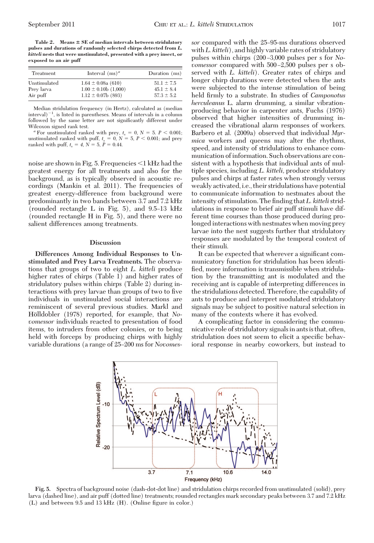**Table 2. Means SE of median intervals between stridulatory pulses and durations of randomly selected chirps detected from** *L. kitteli* **nests that were unstimulated, presented with a prey insect, or exposed to an air puff**

| Treatment    | Interval $(ms)^a$        | Duration (ms)  |  |
|--------------|--------------------------|----------------|--|
| Unstimulated | $1.64 \pm 0.08a(610)$    | $51.1 \pm 7.5$ |  |
| Prev larva   | $1.00 \pm 0.10b$ (1,000) | $45.1 \pm 8.4$ |  |
| Air puff     | $1.12 \pm 0.07$ b (893)  | $57.3 \pm 5.2$ |  |

Median stridulation frequency (in Hertz), calculated as (median  $\int$ interval)<sup>-1</sup>, is listed in parentheses. Means of intervals in a column followed by the same letter are not significantly different under

Wilcoxon signed rank test.  $a^a$  For unstimulated ranked with prey,  $t_s = 0$ ,  $N = 5$ .  $P < 0.001$ ; unstimulated ranked with puff,  $t_s = 0$ ,  $N = 5$ ,  $P < 0.001$ ; and prey ranked with puff,  $t_s = 4$ ,  $\hat{N} = 5$ ,  $\hat{P} = 0.44$ .

noise are shown in Fig. 5. Frequencies  $\leq$ 1 kHz had the greatest energy for all treatments and also for the background, as is typically observed in acoustic recordings (Mankin et al. 2011). The frequencies of greatest energy-difference from background were predominantly in two bands between 3.7 and 7.2 kHz (rounded rectangle L in Fig. 5), and  $9.5-13$  kHz (rounded rectangle H in Fig. 5), and there were no salient differences among treatments.

# **Discussion**

**Differences Among Individual Responses to Unstimulated and Prey Larva Treatments.** The observations that groups of two to eight *L. kitteli* produce higher rates of chirps (Table 1) and higher rates of stridulatory pulses within chirps (Table 2) during interactions with prey larvae than groups of two to five individuals in unstimulated social interactions are reminiscent of several previous studies. Markl and Hölldobler (1978) reported, for example, that *Novomessor* individuals reacted to presentation of food items, to intruders from other colonies, or to being held with forceps by producing chirps with highly variable durations (a range of 25-200 ms for *Novomes*-

sor compared with the 25-95-ms durations observed with*L. kitteli*), and highly variable rates of stridulatory pulses within chirps (200 Ð3,000 pulses per s for *Novomessor* compared with 500–2,500 pulses per s observed with *L. kitteli*). Greater rates of chirps and longer chirp durations were detected when the ants were subjected to the intense stimulation of being held firmly to a substrate. In studies of *Camponotus herculeanus* L. alarm drumming, a similar vibrationproducing behavior in carpenter ants, Fuchs (1976) observed that higher intensities of drumming increased the vibrational alarm responses of workers. Barbero et al. (2009a) observed that individual *Myrmica* workers and queens may alter the rhythms, speed, and intensity of stridulations to enhance communication of information. Such observations are consistent with a hypothesis that individual ants of multiple species, including *L. kitteli,* produce stridulatory pulses and chirps at faster rates when strongly versus weakly activated, i.e., their stridulations have potential to communicate information to nestmates about the intensity of stimulation. The finding that L. kitteli stridulations in response to brief air puff stimuli have different time courses than those produced during prolonged interactions with nestmates when moving prey larvae into the nest suggests further that stridulatory responses are modulated by the temporal context of their stimuli.

It can be expected that wherever a significant communicatory function for stridulation has been identified, more information is transmissible when stridulation by the transmitting ant is modulated and the receiving ant is capable of interpreting differences in the stridulations detected. Therefore, the capability of ants to produce and interpret modulated stridulatory signals may be subject to positive natural selection in many of the contexts where it has evolved.

A complicating factor in considering the communicative role of stridulatory signalsin antsis that, often, stridulation does not seem to elicit a specific behavioral response in nearby coworkers, but instead to



**Fig. 5.** Spectra of background noise (dash-dot-dot line) and stridulation chirps recorded from unstimulated (solid), prey larva (dashed line), and air puff (dotted line) treatments; rounded rectangles mark secondary peaks between 3.7 and 7.2 kHz  $(L)$  and between 9.5 and 13 kHz  $(H)$ . (Online figure in color.)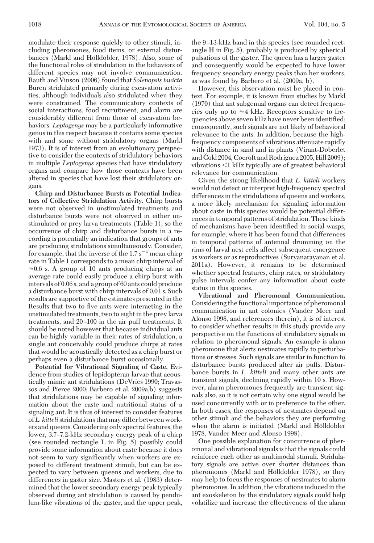modulate their response quickly to other stimuli, including pheromones, food items, or external disturbances (Markl and Hölldobler, 1978). Also, some of the functional roles of stridulation in the behaviors of different species may not involve communication. Rauth and Vinson (2006) found that *Solenopsis invicta* Buren stridulated primarily during excavation activities, although individuals also stridulated when they were constrained. The communicatory contexts of social interactions, food recruitment, and alarm are considerably different from those of excavation behaviors. *Leptogenys* may be a particularly informative genus in this respect because it contains some species with and some without stridulatory organs (Markl 1973). It is of interest from an evolutionary perspective to consider the contexts of stridulatory behaviors in multiple *Leptogenys* species that have stridulatory organs and compare how those contexts have been altered in species that have lost their stridulatory organs.

**Chirp and Disturbance Bursts as Potential Indicators of Collective Stridulation Activity.** Chirp bursts were not observed in unstimulated treatments and disturbance bursts were not observed in either unstimulated or prey larva treatments (Table 1), so the occurrence of chirp and disturbance bursts in a recording is potentially an indication that groups of ants are producing stridulations simultaneously. Consider, for example, that the inverse of the  $1.7 s^{-1}$  mean chirp rate in Table 1 corresponds to a mean chirp interval of  $\approx 0.6$  s. A group of 10 ants producing chirps at an average rate could easily produce a chirp burst with intervals of 0.06 s, and a group of 60 ants could produce a disturbance burst with chirp intervals of 0.01 s. Such results are supportive of the estimates presented in the Results that two to five ants were interacting in the unstimulated treatments, two to eight in the prey larva treatments, and 20–100 in the air puff treatments. It should be noted however that because individual ants can be highly variable in their rates of stridulation, a single ant conceivably could produce chirps at rates that would be acoustically detected as a chirp burst or perhaps even a disturbance burst occasionally.

**Potential for Vibrational Signaling of Caste.** Evidence from studies of lepidopteran larvae that acoustically mimic ant stridulations (DeVries 1990; Travassos and Pierce 2000; Barbero et al. 2009a,b) suggests that stridulations may be capable of signaling information about the caste and nutritional status of a signaling ant. It is thus of interest to consider features of*L. kitteli*stridulations that may differ between workers and queens. Considering only spectral features, the lower, 3.7–7.2-kHz secondary energy peak of a chirp (see rounded rectangle L in Fig. 5) possibly could provide some information about caste because it does not seem to vary significantly when workers are exposed to different treatment stimuli, but can be expected to vary between queens and workers, due to differences in gaster size. Masters et al. (1983) determined that the lower secondary energy peak typically observed during ant stridulation is caused by pendulum-like vibrations of the gaster, and the upper peak, the 9-13-kHz band in this species (see rounded rectangle H in Fig. 5), probably is produced by spherical pulsations of the gaster. The queen has a larger gaster and consequently would be expected to have lower frequency secondary energy peaks than her workers, as was found by Barbero et al. (2009a, b).

However, this observation must be placed in context. For example, it is known from studies by Markl (1970) that ant subgenual organs can detect frequencies only up to  $\approx$ 4 kHz. Receptors sensitive to frequencies above seven kHz have never been identified; consequently, such signals are not likely of behavioral relevance to the ants. In addition, because the highfrequency components of vibrations attenuate rapidly with distance in sand and in plants (Virant-Doberlet and Čokl 2004, Cocroft and Rodríguez 2005, Hill 2009); vibrations  $\leq 1$  kHz typically are of greatest behavioral relevance for communication.

Given the strong likelihood that *L. kitteli* workers would not detect or interpret high-frequency spectral differences in the stridulations of queens and workers, a more likely mechanism for signaling information about caste in this species would be potential differences in temporal patterns of stridulation. These kinds of mechanisms have been identified in social wasps, for example, where it has been found that differences in temporal patterns of antennal drumming on the rims of larval nest cells affect subsequent emergence as workers or as reproductives (Suryanarayanan et al. 2011a). However, it remains to be determined whether spectral features, chirp rates, or stridulatory pulse intervals confer any information about caste status in this species.

**Vibrational and Pheromonal Communication.** Considering the functional importance of pheromonal communication in ant colonies (Vander Meer and Alonso 1998, and references therein), it is of interest to consider whether results in this study provide any perspective on the functions of stridulatory signals in relation to pheromonal signals. An example is alarm pheromone that alerts nestmates rapidly to perturbations or stresses. Such signals are similar in function to disturbance bursts produced after air puffs. Disturbance bursts in *L. kitteli* and many other ants are transient signals, declining rapidly within 10 s. However, alarm pheromones frequently are transient signals also, so it is not certain why one signal would be used concurrently with or in preference to the other. In both cases, the responses of nestmates depend on other stimuli and the behaviors they are performing when the alarm is initiated (Markl and Hölldobler 1978, Vander Meer and Alonso 1998).

One possible explanation for concurrence of pheromonal and vibrational signals is that the signals could reinforce each other as multimodal stimuli. Stridulatory signals are active over shorter distances than pheromones (Markl and Hölldobler 1978), so they may help to focus the responses of nestmates to alarm pheromones. In addition, the vibrations induced in the ant exoskeleton by the stridulatory signals could help volatilize and increase the effectiveness of the alarm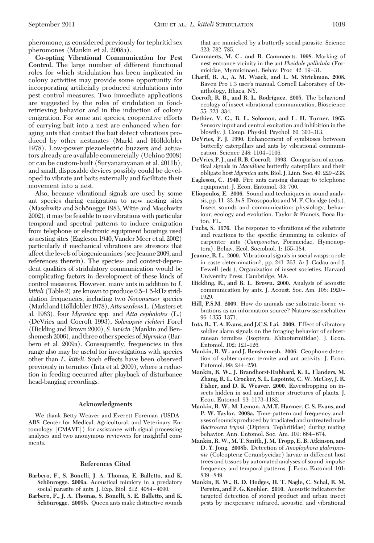pheromone, as considered previously for tephritid sex pheromones (Mankin et al. 2008a).

**Co-opting Vibrational Communication for Pest Control.** The large number of different functional roles for which stridulation has been implicated in colony activities may provide some opportunity for incorporating artificially produced stridulations into pest control measures. Two immediate applications are suggested by the roles of stridulation in foodretrieving behavior and in the induction of colony emigration. For some ant species, cooperative efforts of carrying bait into a nest are enhanced when foraging ants that contact the bait detect vibrations produced by other nestmates (Markl and Hölldobler 1978). Low-power piezoelectric buzzers and actuators already are available commercially (Uchino 2008) or can be custom-built (Suryanarayanan et al. 2011b), and small, disposable devices possibly could be developed to vibrate ant baits externally and facilitate their movement into a nest.

Also, because vibrational signals are used by some ant species during emigration to new nesting sites (Maschwitz and Schönegge 1983, Witte and Maschwitz 2002), it may be feasible to use vibrations with particular temporal and spectral patterns to induce emigration from telephone or electronic equipment housings used as nesting sites (Eagleson 1940, Vander Meer et al. 2002) particularly if mechanical vibrations are stressors that affect thelevels of biogenicamines (see Jeanne 2009,and references therein). The species- and context-dependent qualities of stridulatory communication would be complicating factors in development of these kinds of control measures. However, many ants in addition to *L kitteli* (Table 2) are known to produce 0.5–1.5-kHz stridulation frequencies, including two *Novomessor* species (Markl and Ho¨lldobler 1978),*Atta sexdens*L. (Masters et al. 1983), four *Myrmica* spp. and *Atta cephalotes* (L.) (DeVries and Cocroft 1993), *Solenopsis richteri* Forel (Hickling and Brown 2000), *S. invicta* (Mankin and Benshemesh 2006), and three other species of *Myrmica* (Barbero et al. 2009a). Consequently, frequencies in this range also may be useful for investigations with species other than *L. kitteli.* Such effects have been observed previously in termites (Inta et al. 2009), where a reduction in feeding occurred after playback of disturbance head-banging recordings.

# **Acknowledgments**

We thank Betty Weaver and Everett Foreman (USDA-ARS-Center for Medical, Agricultural, and Veterinary Entomology [CMAVE]) for assistance with signal processing analyses and two anonymous reviewers for insightful comments.

# **References Cited**

- **Barbero, F., S. Bonelli, J. A. Thomas, E. Balletto, and K.** Schönrogge. 2009a. Acoustical mimicry in a predatory social parasite of ants. J. Exp. Biol. 212: 4084-4090.
- **Barbero, F., J. A. Thomas, S. Bonelli, S. E. Balletto, and K.** Schönrogge. 2009b. Queen ants make distinctive sounds

that are mimicked by a butterßy social parasite. Science 323: 782-785.

- **Cammaerts, M. C., and R. Cammaerts. 1998.** Marking of nest entrance vicinity in the ant *Pheidole pallidula* (Formicidae, Myrmicinae). Behav. Proc. 42: 19-31.
- **Charif, R. A., A. M. Waack, and L. M. Strickman. 2008.** Raven Pro 1.3 user's manual. Cornell Laboratory of Ornithology, Ithaca, NY.
- **Cocroft, R. B., and R. L. Rodrı´guez. 2005.** The behavioral ecology of insect vibrational communication. Bioscience 55: 323-334.
- **Dethier, V. G., R. L. Solomon, and L. H. Turner. 1965.** Sensory input and central excitation and inhibition in the blowfly. J. Comp. Physiol. Psychol. 60: 303-313.
- **DeVries, P. J. 1990.** Enhancement of symbioses between butterßy caterpillars and ants by vibrational communication. Science 248: 1104-1106.
- **DeVries, P. J., and R. B. Cocroft. 1993.** Comparison of acoustical signals in *Maculinea* butterßy caterpillars and their obligate host *Myrmica* ants. Biol. J. Linn. Soc. 49: 229-238.
- **Eagleson, C. 1940.** Fire ants causing damage to telephone equipment. J. Econ. Entomol. 33: 700.
- **Eliopoulos, E. 2006.** Sound and techniques in sound analysis, pp. 11–33. In S. Drosopoulos and M. F. Claridge (eds.), Insect sounds and communication: physiology, behaviour, ecology and evolution. Taylor & Francis, Boca Raton, FL.
- **Fuchs, S. 1976.** The response to vibrations of the substrate and reactions to the specific drumming in colonies of carpenter ants (*Camponotus,* Formicidae, Hymenoptera). Behav. Ecol. Sociobiol. 1: 155-184.
- **Jeanne, R. L. 2009.** Vibrational signals in social wasps: a role in caste determination?, pp. 241–263. *In* J. Gadau and J. Fewell (eds.), Organization of insect societies. Harvard University Press, Cambridge, MA.
- **Hickling, R., and R. L. Brown. 2000.** Analysis of acoustic communication by ants. J. Acoust. Soc. Am. 108: 1920 -1929.
- **Hill, P.S.M. 2009.** How do animals use substrate-borne vibrations as an information source? Naturwissenschaften 96: 1355-1371.
- **Inta, R., T. A. Evans, and J.C.S. Lai. 2009.** Effect of vibratory soldier alarm signals on the foraging behavior of subterranean termites (Isoptera: Rhinotermitidae). J. Econ. Entomol. 102: 121-126.
- **Mankin, R. W., and J. Benshemesh. 2006.** Geophone detection of subterranean termite and ant activity. J. Econ. Entomol. 99: 244-250.
- **Mankin, R. W., J. Brandhorst-Hubbard, K. L. Flanders, M. Zhang, R. L. Crocker, S. L. Lapointe, C. W. McCoy, J. R. Fisher, and D. K. Weaver. 2000.** Eavesdropping on insects hidden in soil and interior structures of plants. J. Econ. Entomol. 93: 1173-1182.
- **Mankin, R. W., M. Lemon, A.M.T. Harmer, C. S. Evans, and P. W. Taylor. 2008a.** Time-pattern and frequency analyses of sounds produced by irradiated and untreated male *Bactrocera tryoni* (Diptera: Tephritidae) during mating behavior. Ann. Entomol. Soc. Am. 101: 664-674.
- **Mankin, R. W., M. T. Smith, J. M. Tropp, E. B. Atkinson, and D. Y. Jong. 2008b.** Detection of *Anoplophora glabripennis* (Coleoptera: Cerambycidae) larvae in different host trees and tissues by automated analyses of sound-impulse frequency and temporal patterns. J. Econ. Entomol. 101:  $839 - 849.$
- **Mankin, R. W., R. D. Hodges, H. T. Nagle, C. Schal, R. M. Pereira, and P. G. Koehler. 2010.** Acoustic indicators for targeted detection of stored product and urban insect pests by inexpensive infrared, acoustic, and vibrational